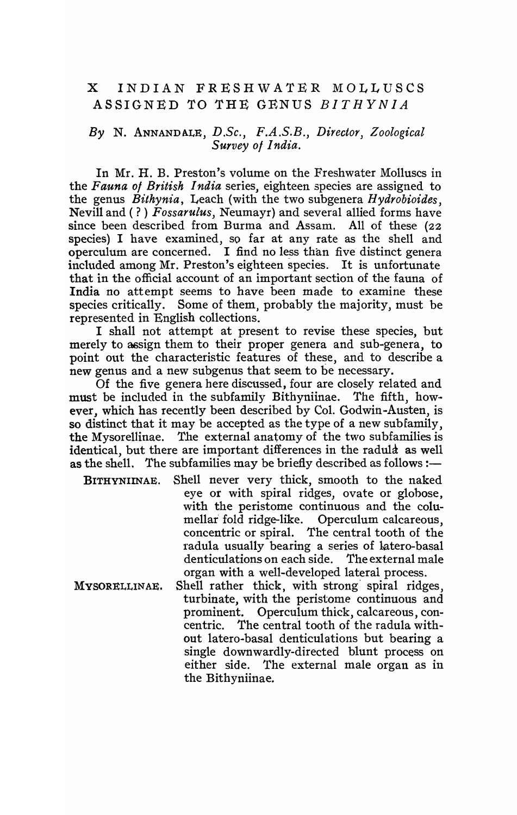## X INDIAN FRESHWATER MOLLUSCS ASSIGNED TO THE GENUS *BITHYNIA*

### *By* N. ANNANDALE, *D.Se., F.A.S.B., Director, Zoological Survey 01 India.*

In Mr. H. B. Preston's volume on the Freshwater Molluscs in the *Fauna 01 British India* series, eighteen species are assigned to the genus *Bithynia,* Leach (with the two subgenera *H ydrobioides,*  Nevill and ( ? ) *Fossarulus,* Neumayr) and several allied forms have since been described from Burma and Assam. All of these (22 species) I have examined, so far at any rate as the shell and operculum are concerned. I find no le\_ss than five distinct genera included among Mr. Preston's eighteen species. It is unfortunate that in the official account of an important section of the fauna of India no attempt seems to have been made to examine these species critically. Some of them, probably the majority, must be represented in English collections.

I shall not attempt at present to revise these species, but merely to assign them to their proper genera and sub-genera, to point out the characteristic features of these, and to describe a new genus and a new subgenus that seem to be necessary.

Of the five genera here discussed, four are closely related and must be included in the subfamily Bithyniinae. 'fhe fifth, however, which has recently been described by Col. Godwin-Austen, is so distinct that it may be accepted as the type of a new subfamily, the Mysorellinae. The external anatomy of the two subfamilies is identical, but there are important differences in the radular as well as the shell. The subfamilies may be briefly described as follows :—

- BITHYNIINAE. Shell never very thick, smooth to the naked eye or with spiral ridges, ovate or globose, with the peristome continuous and the columellar fold ridge-like. Operculum calcareous, concentric or spiral. The central tooth of the radula usually bearing a series of latero-basal denticulations on each side. organ with a well-developed lateral process.
- MVSORELLINAE. Shell rather thick, with strong' spiral ridges, turbinate, with the peristome continuous and prominent. Operculum thick, calcareous, concentric. The central tooth of the radula without latero-basal denticulations but bearing a single downwardly-directed blunt process on either side. The external male organ as in the Bithyniinae.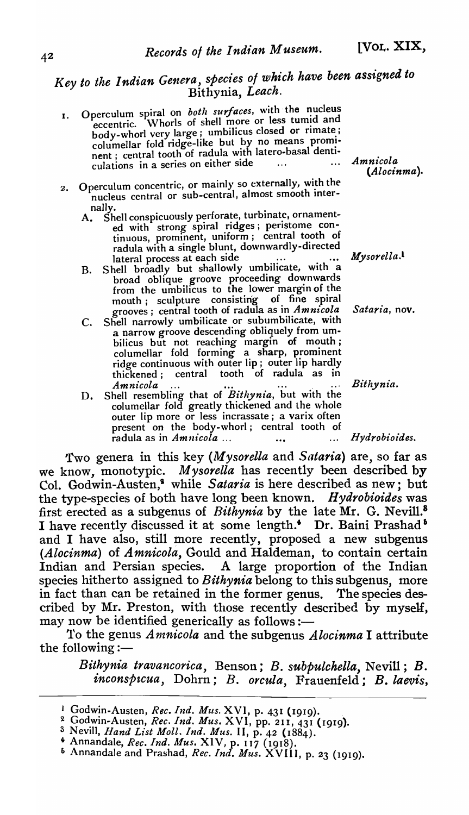# Key to the Indian Genera, species of which have been assigned to Bithynia, *Leach.*

- I. Operculum spiral on *both surfaces*, with the nucleus eccentric. Whorls of shell more or less tumid and body-whorl very large; umbilicus closed or rimate;  $_{\rm collumellar}$  fold ridge-like but by no means prominent. central tooth of radula With latero-basal dentlculations in a series on either side
- 2. Operculum concentric, or mainly so externally, w h ith the **S** nucleus central or sub-central, almost smooth inter
	- nally.<br>A. Shell conspicuously perforate, turbinate, ornamented with strong spiral ridges; peristome continuous, prominent, uniform; central tooth of radula with a single blunt, downwardly-directed lateral process at each side ..... *Mysorella*.<sup>1</sup>
	- B. Shell broadly but shallowly umbilicate, with a broad oblique groove proceeding downwards from the umbilicus to the lower margin of the mouth j sculpture consisting of fine spiral grooves; central tooth of radula as in *Amnicola Sataria,* nov.
	- C. Shell narrowly umbilicate or subumbilicate, with a narrow groove descending obliquely from umbilicus but not reaching margin of mouth; columellar fold forming a sharp, prominent ridge continuous with outer lip; outer lip hardly thickened j central tooth of radula as in Amnicola ... **and ...** ... ... Bithynia.
	- D. Shell resembling that of *Bithynia,* but with the columellar fold greatly thickened and the whole outer lip more or less incrassate; a varix often present on the body-whorl; central tooth of radula as in *Amnicola* ... **...** ... **hydrobioides.**

*Two* genera in this key *(Mysorella* and *Sataria)* are, so far as we know, monotypic. *Mysorella* has recently been described by Co1. Godwin-Austen,' while *Sataria* is here described as new; but the type-species of both have long been known. *Hydrobioides* was first erected as a subgenus of *Bithynia* by the late Mr. G. Nevil1.8 I have recently discussed it at some length.<sup>4</sup> Dr. Baini Prashad<sup>5</sup> and I have also, still more recently, proposed a new subgenus *(Alocinma)* of *Amnicola,* Gould and Haldeman, to contain certain Indian and Persian species. A large proportion of the Indian species hitherto assigned to *Bithynia* belong to this subgenus, more in fact than can be retained in the former genus. The species described by Mr. Preston, with those recently described by myself, may now be identified generically as follows :-

1'0 the genus *An1,nicola* and the subgenus *Alocinma* I attribute the following  $:$ —

 $Bithynia\,\,travancorica,\,\,Benson;\,\,B.\,\,subpulchella,\,\,Nevill;\,\,B.\,$  $inconspace,$  Dohrn; *B. orcula*, Frauenfeld; *B. laevis*,

*Amnicola (Alocinma).* 

<sup>&</sup>lt;sup>1</sup> Godwin-Austen, *Rec. Ind. Mus.* XVI, p. 431 (1919).

<sup>~</sup> Godwln~Austen, *Rec. Ind. Mus.* XVI, pp. 211,431 (1919).

S Nevill, *Hand List Moll. Ind. Mus.* I I, p. 42 ( 1884).

<sup>4</sup>Annandale, *Rec. Ind. Mus.* XIV, p. 117 (1918).

<sup>&</sup>lt;sup>6</sup> Annandale and Prashad, *Rec. Ind. Mus.* XVIII, p. 23 (1919).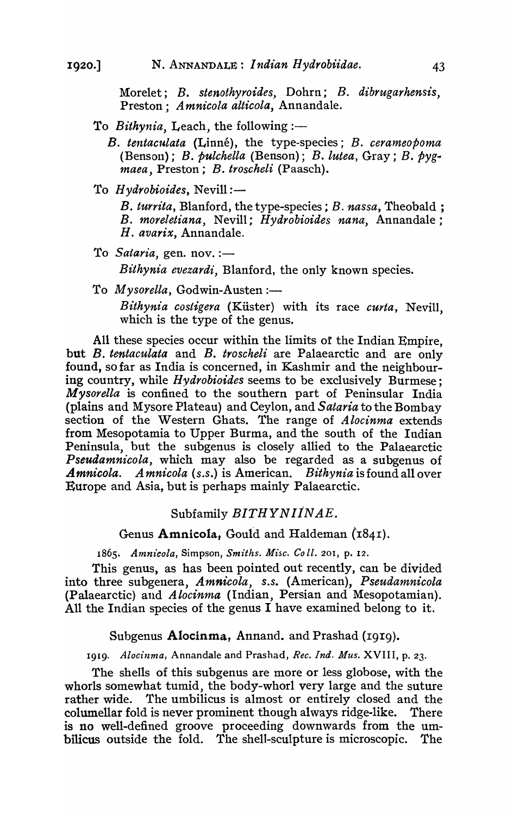Morelet; *B. stenothyroides..* Dohrn; *B. dibrugarhensis,*  Preston; *A mnicola alticola,* Annandale.

- To *Bithynia*, Leach, the following:-
	- *B. tentacl41ata* (Linne), the type-species; *B. cerameopoma*  (Benson); *B. pulchella* (Benson); *B. lutea,* Gray; *B. pygmaea,* Preston; *B. troscheli* (Paasch).
- To *Hydrobioides*, Nevill:-

*B. turrita,* Blanford, the type-species; *B. nassa,* Theobald; *B. moreletiana,* Nevill; *Hydrobioides nana,* Annandale; *H. avarix,* Annandale.

To *Sataria*, gen. nov. :-*Bithynia evezardi,* Blanford, the only known species.

To *Mysorella*, Godwin-Austen:-

Bithynia costigera (Küster) with its race *curta*, Nevill, which is the type of the genus.

All these species occur within the limits of the Indian Empire, but *B. tentaculata* and *B. troscheli* are Palaearctic and are only found, so far as India is concerned, in Kashmir and the neighbouring country, while *Hydrobioides* seems to be exclusively Burmese; *Mysorella* is confined to the southern part of Peninsular India (plains and Mysore Plateau) and Ceylon, and *Sataria* to the Bombay section of the Western Ghats. The range of *A locinma* extends from Mesopotamia to Upper Burma, and the south of the Indian Peninsula, but the subgenus is closely allied to the Palaearctic *Pseudamnicola,* which may also be regarded as a subgenus of *A mnicola, A mnicola (s.s.)* is American. *Bithynia* is found all over Europe and Asia, but is perhaps mainly Palaearctic.

#### Subfamily *BITHYN I1NAE.*

Genus Amnicola, Gould and Haldeman  $(1841)$ .

*1865. Amnz'cola,* Simpson, *Smiths, Misc. Co ll,* 201, p. 12,

This genus, as has been pointed out recently, can be divided into three subgenera, *Amnicola, s.s.* (American), *Pseudamnicola*  (Palaearctic) and *Alocinma* (Indian, Persian and Mesopotamian). All the Indian species of the genus I have examined belong to it.

#### Subgenus Alocinma, Annand. and Prashad (1919).

1919- *Alocinma,* Annandale and Prashad, *Rec, Ind. Mus,* XVIII, p, 23-

The shells of this subgenus are more or less globose, with the whorls somewhat tumid, the body-whorl very large and the suture rather wide. The umbilicus is almost or entirely closed and the columellar fold is never prominent though always ridge-like. There is no well-defined groove proceeding downwards from the umbilicus outside the fold. The shell-sculpture is microscopic. The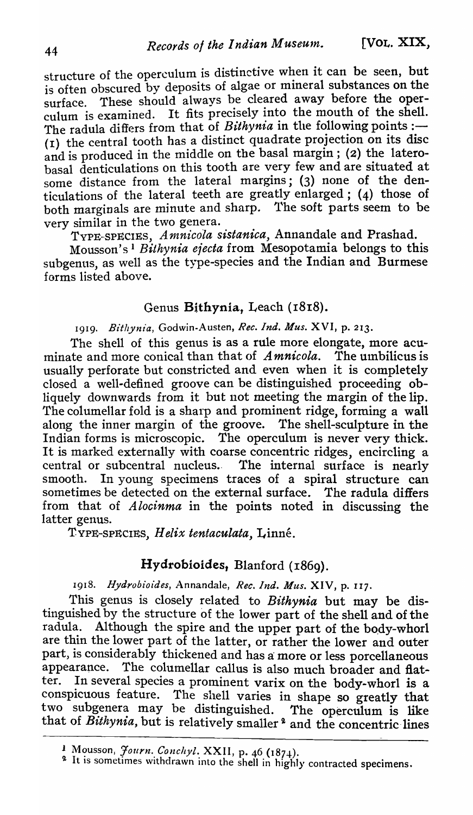structure of the operculum is distinctive when it can be seen, but is often obscured by deposits of algae or mineral substances on the surface. These should always be cleared away before the operculum is examined. It fits precisely into the mouth of the shell. The radula differs from that of *Bithynia* in the following points :-( $I$ ) the central tooth has a distinct quadrate projection on its disc and is produced in the middle on the basal margin; (2) the laterobasal denticulations on this tooth are very few and are situated at some distance from the lateral margins; (3) none of the denticulations of the lateral teeth are greatly enlarged; (4) those of both marginals are minute and sharp. The soft parts seem to be very similar in the two genera.

TYPE-SPECIES, *Amnicola sistanica*, Annandale and Prashad.

Mousson's 1 *Bithynia efecta* from Mesopotamia belongs to this subgenus, as well as the type-species and the Indian and Burmese forms listed above.

## Genus Bithynia, Leach (1818).

*19* <sup>1</sup>*9. Bithynia,* Godwin-Austen, *Rec. Ind. Mus.* XVI, p. 213.

The shell of this genus is as a rule more elongate, more acuminate and more conical than that of *A mnicola.* The umbilicus is usually perforate but constricted and even when it is completely closed a well-defined groove can be distinguished proceeding obliquely downwards from it but not meeting the margin of the lip. The columellar fold is a sharp and prominent ridge, forming a wall along the inner margin of the groove. The shell-sculpture in the Indian forms is microscopic. The operculum is never very thick. It is marked externally with coarse concentric ridges, encircling a central or subcentral nucleus.. The internal surface is nearly smooth. In young specimens traces of a spiral structure can sometimes be detected on the external surface. The radula differs from that of *Alocinma* in the points noted in discussing the latter genus.

TYPE-SPECIES, *Helix tentaculata,* Linne.

## Hydrobioides, Blanford (1869).

1918. Hydrobioides, Annandale, Rec. Ind. Mus. XIV, p. 117.

This genus is closely related to *Bithynia* but may be distinguished by the structure of the lower part of the shell and of the radula. Although the spire and the upper part of the body-whorl are thin the lower part of the latter, or rather the lower and outer part, is considerably thickened and has a more or less porcellaneous appearance. The columellar callus is also much broader and flat-The columellar callus is also much broader and flatter. !n several species a prominent varix on the body-whorl is a conspicuous feature. The shell varies in shape so greatly that two subgenera may be distinguished. The operculum is like that of Bithynia, but is relatively smaller<sup>2</sup> and the concentric lines

<sup>1</sup> Mousson, *Journ. Conchyl.* XXII, p. 46 (1874).

It is sometimes withdrawn into the shell in highly contracted specimens.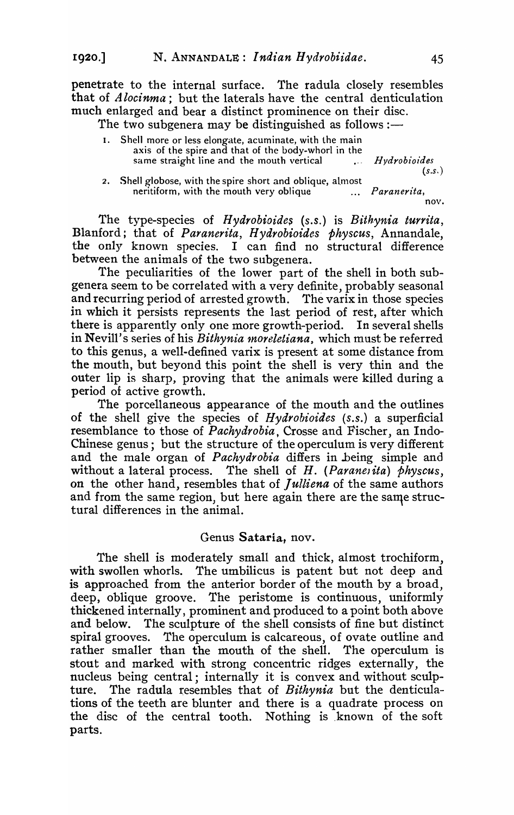penetrate to the internal surface. The radula closely resembles that of *Alocinma;* but the laterals have the central denticulation much enlarged and bear a distinct prominence on their disc.

The two subgenera may be distinguished as follows: $-$ 

- I. Shell more or less elongate, acuminate, with the main axis of the spire and that of the body-whorl in the same straight line and the mouth vertical *Hydrobioides*
- 2. Shell globose, with the spire short and oblique, almost neritiform, with the mouth very oblique  $\sim$  ... *(s.s. ) Paranerita,*  nov.

The type-species of *Hydrobioides* (s.s.) is *Bithynia turrita*, Blanford; that of *Paranerita, Hydrobioides physcus,* Annandale, the only known species. I can find no structural difference between the animals of the two subgenera.

The peculiarities of the lower part of the shell in both subgenera seem to be correlated with a very definite, probably seasonal and recurring period of arrested growth. The varix in those species in which it persists represents the last period of rest, after which there is apparently only one more growth-period. In several shells in Nevill's series of his *Bithynia 1noreletiana,* which must be referred to this genus, a well-defined varix is present at some distance from the mouth, but beyond this point the shell is very thin and the outer lip is sharp, proving that the animals were killed during a period of active growth.

The porcellaneous appearance of the mouth and the outlines of the shell give the species of *Hydrobioides (s.s.)* a superficial resemblance to those of *Pachydrobia,* Crosse and Fischer, an Indo-Chinese genus; but the structure of the operculum is very different and the male organ of *Pachydrobia* differs in .being simple and without a lateral process. The shell of *H. (Parane<sub>l</sub>ita) physcus*, on the other hand, resembles that of *Julliena* of the same authors and from the same region, but here again there are the same structural differences in the animal.

#### Genus Sataria, nov.

The shell is moderately small and thick, almost trochiform, with swollen whorls. The umbilicus is patent but not deep and is approached from the anterior border of the mouth by a broad, deep, oblique groove. The peristome is continuous, uniformly thickened internally, prominent and produced to a point both above and below. The sculpture of the shell consists of fine but distinct spiral grooves. The operculum is calcareous, of ovate outline and rather smaller than the mouth of the shell. The operculum is stout and marked with strong concentric ridges externally, the nucleus being central; internally it is convex and without sculpture. The radula resembles that of *Bithynia* but the denticulations of the teeth are blunter and there is a quadrate process on the disc of the central tooth. Nothing is known of the soft parts.